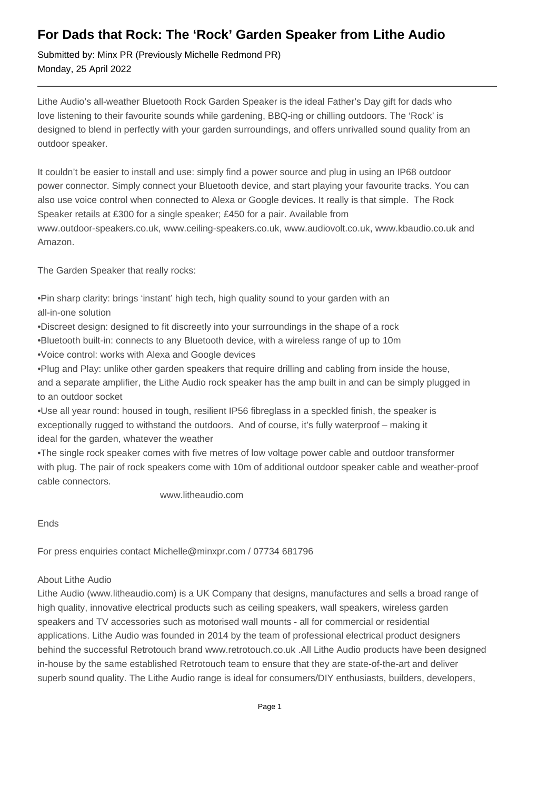## **For Dads that Rock: The 'Rock' Garden Speaker from Lithe Audio**

Submitted by: Minx PR (Previously Michelle Redmond PR) Monday, 25 April 2022

Lithe Audio's all-weather Bluetooth Rock Garden Speaker is the ideal Father's Day gift for dads who love listening to their favourite sounds while gardening, BBQ-ing or chilling outdoors. The 'Rock' is designed to blend in perfectly with your garden surroundings, and offers unrivalled sound quality from an outdoor speaker.

It couldn't be easier to install and use: simply find a power source and plug in using an IP68 outdoor power connector. Simply connect your Bluetooth device, and start playing your favourite tracks. You can also use voice control when connected to Alexa or Google devices. It really is that simple. The Rock Speaker retails at £300 for a single speaker; £450 for a pair. Available from www.outdoor-speakers.co.uk, www.ceiling-speakers.co.uk, www.audiovolt.co.uk, www.kbaudio.co.uk and Amazon.

The Garden Speaker that really rocks:

• Pin sharp clarity: brings 'instant' high tech, high quality sound to your garden with an all-in-one solution

- • Discreet design: designed to fit discreetly into your surroundings in the shape of a rock
- • Bluetooth built-in: connects to any Bluetooth device, with a wireless range of up to 10m
- • Voice control: works with Alexa and Google devices

• Plug and Play: unlike other garden speakers that require drilling and cabling from inside the house, and a separate amplifier, the Lithe Audio rock speaker has the amp built in and can be simply plugged in to an outdoor socket

• Use all year round: housed in tough, resilient IP56 fibreglass in a speckled finish, the speaker is exceptionally rugged to withstand the outdoors. And of course, it's fully waterproof – making it ideal for the garden, whatever the weather

• The single rock speaker comes with five metres of low voltage power cable and outdoor transformer with plug. The pair of rock speakers come with 10m of additional outdoor speaker cable and weather-proof cable connectors.

www.litheaudio.com

Ends

For press enquiries contact Michelle@minxpr.com / 07734 681796

## About Lithe Audio

Lithe Audio (www.litheaudio.com) is a UK Company that designs, manufactures and sells a broad range of high quality, innovative electrical products such as ceiling speakers, wall speakers, wireless garden speakers and TV accessories such as motorised wall mounts - all for commercial or residential applications. Lithe Audio was founded in 2014 by the team of professional electrical product designers behind the successful Retrotouch brand www.retrotouch.co.uk .All Lithe Audio products have been designed in-house by the same established Retrotouch team to ensure that they are state-of-the-art and deliver superb sound quality. The Lithe Audio range is ideal for consumers/DIY enthusiasts, builders, developers,